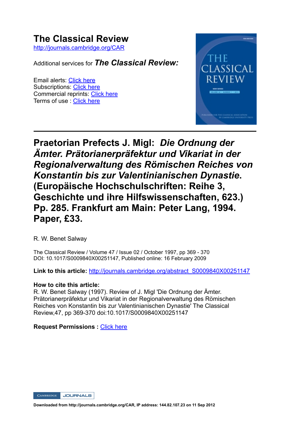# **The Classical Review**

http://journals.cambridge.org/CAR

Additional services for *The Classical Review:*

Email alerts: Click here Subscriptions: Click here Commercial reprints: Click here Terms of use : Click here



## **Praetorian Prefects J. Migl:** *Die Ordnung der Ämter. Prätorianerpräfektur und Vikariat in der Regionalverwaltung des Römischen Reiches von Konstantin bis zur Valentinianischen Dynastie***. (Europäische Hochschulschriften: Reihe 3, Geschichte und ihre Hilfswissenschaften, 623.) Pp. 285. Frankfurt am Main: Peter Lang, 1994. Paper, £33.**

R. W. Benet Salway

The Classical Review / Volume 47 / Issue 02 / October 1997, pp 369 - 370 DOI: 10.1017/S0009840X00251147, Published online: 16 February 2009

**Link to this article:** http://journals.cambridge.org/abstract\_S0009840X00251147

### **How to cite this article:**

R. W. Benet Salway (1997). Review of J. Migl 'Die Ordnung der Ämter. Prätorianerpräfektur und Vikariat in der Regionalverwaltung des Römischen Reiches von Konstantin bis zur Valentinianischen Dynastie' The Classical Review,47, pp 369370 doi:10.1017/S0009840X00251147

### **Request Permissions :** Click here

**CAMBRIDGE** JOURNALS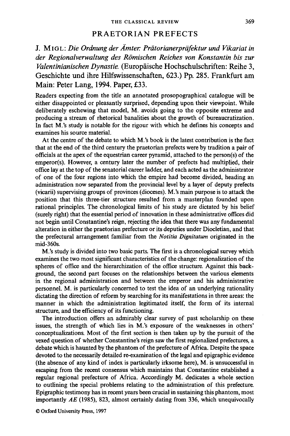#### PRAETORIAN PREFECTS

J. MIGL : *Die Ordnung der Amter. Pratorianerprafektur und Vikariat in der Regionalverwaltung des Romischen Reiches von Konstantin bis zur Valentinianischen Dynastie.* (Europaische Hochschulschriften: Reihe 3, Geschichte und ihre Hilfswissenschaften, 623.) Pp. 285. Frankfurt am Main: Peter Lang, 1994. Paper, £33.

Readers expecting from the title an annotated prosopographical catalogue will be either disappointed or pleasantly surprised, depending upon their viewpoint. While deliberately eschewing that model, M. avoids going to the opposite extreme and producing a stream of rhetorical banalities about the growth of bureaucratization. In fact M.'s study is notable for the rigour with which he defines his concepts and examines his source material.

At the centre of the debate to which M.'s book is the latest contribution is the fact that at the end of the third century the praetorian prefects were by tradition a pair of officials at the apex of the equestrian career pyramid, attached to the person(s) of the emperor(s). However, a century later the number of prefects had multiplied, their office lay at the top of the senatorial career ladder, and each acted as the administrator of one of the four regions into which the empire had become divided, heading an administration now separated from the provincial level by a layer of deputy prefects (vicarii) supervising groups of provinces (dioceses). M.'s main purpose is to attack the position that this three-tier structure resulted from a masterplan founded upon rational principles. The chronological limits of his study are dictated by his belief (surely right) that the essential period of innovation in these administrative offices did not begin until Constantine's reign, rejecting the idea that there was any fundamental alteration in either the praetorian prefecture or its deputies under Diocletian, and that the prefectural arrangement familiar from the *Notitia Dignitatum* originated in the mid-360s.

M.'s study is divided into two basic parts. The first is a chronological survey which examines the two most significant characteristics of the change: regionalization of the spheres of office and the hierarchization of the office structure. Against this background, the second part focuses on the relationships between the various elements in the regional administration and between the emperor and his administrative personnel. M. is particularly concerned to test the idea of an underlying rationality dictating the direction of reform by searching for its manifestations in three areas: the manner in which the administration legitimated itself, the form of its internal structure, and the efficiency of its functioning.

The introduction offers an admirably clear survey of past scholarship on these issues, the strength of which lies in M.'s exposure of the weaknesses in others' conceptualizations. Most of the first section is then taken up by the pursuit of the vexed question of whether Constantine's reign saw the first regionalized prefectures, a debate which is haunted by the phantom of the prefecture of Africa. Despite the space devoted to the necessarily detailed re-examination of the legal and epigraphic evidence (the absence of any kind of index is particularly irksome here), M. is unsuccessful in escaping from the recent consensus which maintains that Constantine established a regular regional prefecture of Africa. Accordingly M. dedicates a whole section to outlining the special problems relating to the administration of this prefecture. Epigraphic testimony has in recent years been crucial in sustaining this phantom, most importantly *AE* (1985), 823, almost certainly dating from 336, which unequivocally